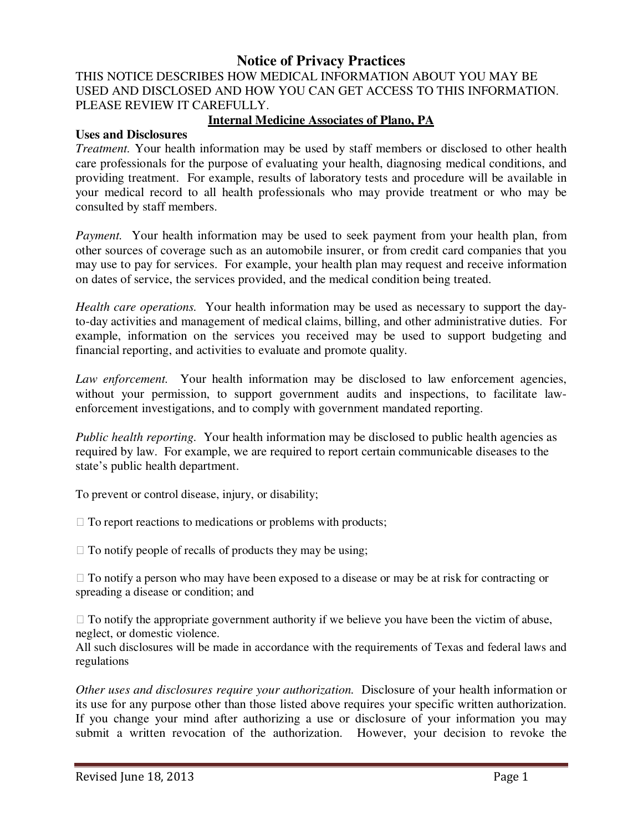#### **Notice of Privacy Practices**

THIS NOTICE DESCRIBES HOW MEDICAL INFORMATION ABOUT YOU MAY BE USED AND DISCLOSED AND HOW YOU CAN GET ACCESS TO THIS INFORMATION. PLEASE REVIEW IT CAREFULLY.

#### **Internal Medicine Associates of Plano, PA**

#### **Uses and Disclosures**

*Treatment.* Your health information may be used by staff members or disclosed to other health care professionals for the purpose of evaluating your health, diagnosing medical conditions, and providing treatment. For example, results of laboratory tests and procedure will be available in your medical record to all health professionals who may provide treatment or who may be consulted by staff members.

*Payment.* Your health information may be used to seek payment from your health plan, from other sources of coverage such as an automobile insurer, or from credit card companies that you may use to pay for services. For example, your health plan may request and receive information on dates of service, the services provided, and the medical condition being treated.

*Health care operations.* Your health information may be used as necessary to support the dayto-day activities and management of medical claims, billing, and other administrative duties. For example, information on the services you received may be used to support budgeting and financial reporting, and activities to evaluate and promote quality.

*Law enforcement.* Your health information may be disclosed to law enforcement agencies, without your permission, to support government audits and inspections, to facilitate lawenforcement investigations, and to comply with government mandated reporting.

*Public health reporting.* Your health information may be disclosed to public health agencies as required by law. For example, we are required to report certain communicable diseases to the state's public health department.

To prevent or control disease, injury, or disability;

To report reactions to medications or problems with products;

To notify people of recalls of products they may be using;

 To notify a person who may have been exposed to a disease or may be at risk for contracting or spreading a disease or condition; and

 To notify the appropriate government authority if we believe you have been the victim of abuse, neglect, or domestic violence.

All such disclosures will be made in accordance with the requirements of Texas and federal laws and regulations

*Other uses and disclosures require your authorization.* Disclosure of your health information or its use for any purpose other than those listed above requires your specific written authorization. If you change your mind after authorizing a use or disclosure of your information you may submit a written revocation of the authorization. However, your decision to revoke the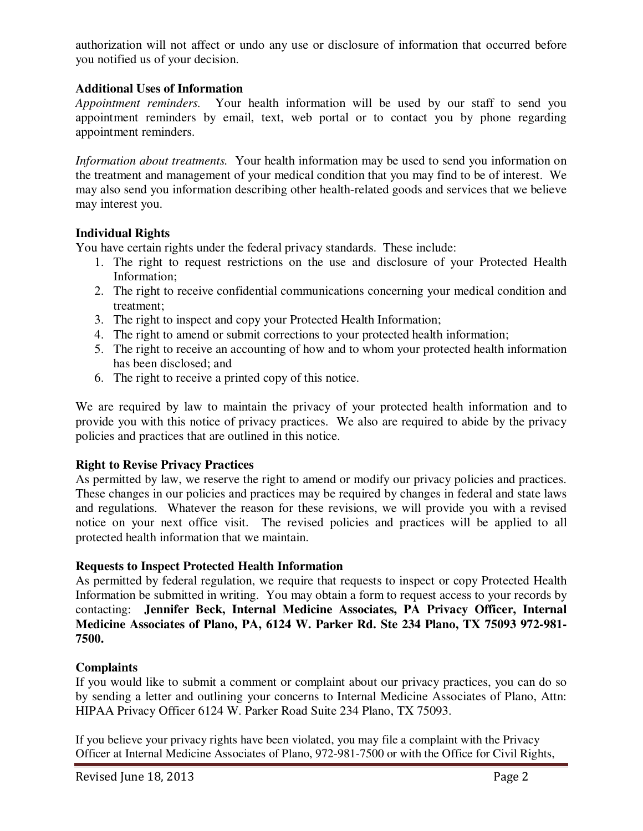authorization will not affect or undo any use or disclosure of information that occurred before you notified us of your decision.

#### **Additional Uses of Information**

*Appointment reminders.* Your health information will be used by our staff to send you appointment reminders by email, text, web portal or to contact you by phone regarding appointment reminders.

*Information about treatments.* Your health information may be used to send you information on the treatment and management of your medical condition that you may find to be of interest. We may also send you information describing other health-related goods and services that we believe may interest you.

#### **Individual Rights**

You have certain rights under the federal privacy standards. These include:

- 1. The right to request restrictions on the use and disclosure of your Protected Health Information;
- 2. The right to receive confidential communications concerning your medical condition and treatment;
- 3. The right to inspect and copy your Protected Health Information;
- 4. The right to amend or submit corrections to your protected health information;
- 5. The right to receive an accounting of how and to whom your protected health information has been disclosed; and
- 6. The right to receive a printed copy of this notice.

We are required by law to maintain the privacy of your protected health information and to provide you with this notice of privacy practices. We also are required to abide by the privacy policies and practices that are outlined in this notice.

## **Right to Revise Privacy Practices**

As permitted by law, we reserve the right to amend or modify our privacy policies and practices. These changes in our policies and practices may be required by changes in federal and state laws and regulations. Whatever the reason for these revisions, we will provide you with a revised notice on your next office visit. The revised policies and practices will be applied to all protected health information that we maintain.

#### **Requests to Inspect Protected Health Information**

As permitted by federal regulation, we require that requests to inspect or copy Protected Health Information be submitted in writing. You may obtain a form to request access to your records by contacting: **Jennifer Beck, Internal Medicine Associates, PA Privacy Officer, Internal Medicine Associates of Plano, PA, 6124 W. Parker Rd. Ste 234 Plano, TX 75093 972-981- 7500.**

## **Complaints**

If you would like to submit a comment or complaint about our privacy practices, you can do so by sending a letter and outlining your concerns to Internal Medicine Associates of Plano, Attn: HIPAA Privacy Officer 6124 W. Parker Road Suite 234 Plano, TX 75093.

If you believe your privacy rights have been violated, you may file a complaint with the Privacy Officer at Internal Medicine Associates of Plano, 972-981-7500 or with the Office for Civil Rights,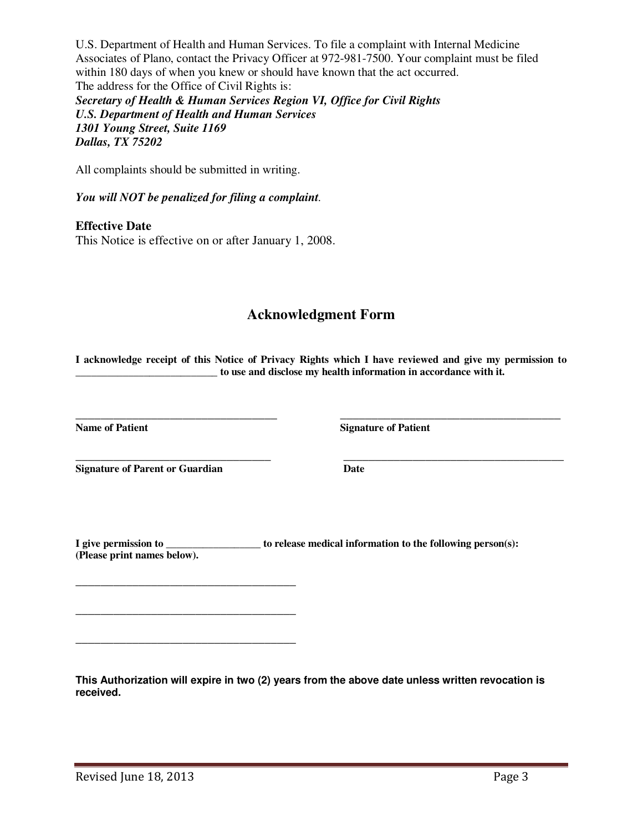U.S. Department of Health and Human Services. To file a complaint with Internal Medicine Associates of Plano, contact the Privacy Officer at 972-981-7500. Your complaint must be filed within 180 days of when you knew or should have known that the act occurred. The address for the Office of Civil Rights is:

*Secretary of Health & Human Services Region VI, Office for Civil Rights U.S. Department of Health and Human Services 1301 Young Street, Suite 1169 Dallas, TX 75202* 

All complaints should be submitted in writing.

*You will NOT be penalized for filing a complaint.*

**Effective Date**  This Notice is effective on or after January 1, 2008.

# **Acknowledgment Form**

**I acknowledge receipt of this Notice of Privacy Rights which I have reviewed and give my permission to \_\_\_\_\_\_\_\_\_\_\_\_\_\_\_\_\_\_\_\_\_\_\_\_\_\_\_ to use and disclose my health information in accordance with it.** 

\_\_\_\_\_\_\_\_\_\_\_\_\_\_\_\_\_\_\_\_\_\_\_\_\_\_\_\_\_\_\_\_ \_\_\_\_\_\_\_\_\_\_\_\_\_\_\_\_\_\_\_\_\_\_\_\_\_\_\_\_\_\_\_\_\_\_\_

**Name of Patient Signature of Patient Signature of Patient** 

 $\overline{\phantom{a}}$  , and the contract of the contract of the contract of the contract of the contract of the contract of the contract of the contract of the contract of the contract of the contract of the contract of the contrac **Signature of Parent or Guardian Date**

\_\_\_\_\_\_\_\_\_\_\_\_\_\_\_\_\_\_\_\_\_\_\_\_\_\_\_\_\_\_\_\_\_\_\_

\_\_\_\_\_\_\_\_\_\_\_\_\_\_\_\_\_\_\_\_\_\_\_\_\_\_\_\_\_\_\_\_\_\_\_

\_\_\_\_\_\_\_\_\_\_\_\_\_\_\_\_\_\_\_\_\_\_\_\_\_\_\_\_\_\_\_\_\_\_\_

**I give permission to \_\_\_\_\_\_\_\_\_\_\_\_\_\_\_\_\_\_ to release medical information to the following person(s): (Please print names below).** 

**This Authorization will expire in two (2) years from the above date unless written revocation is received.**